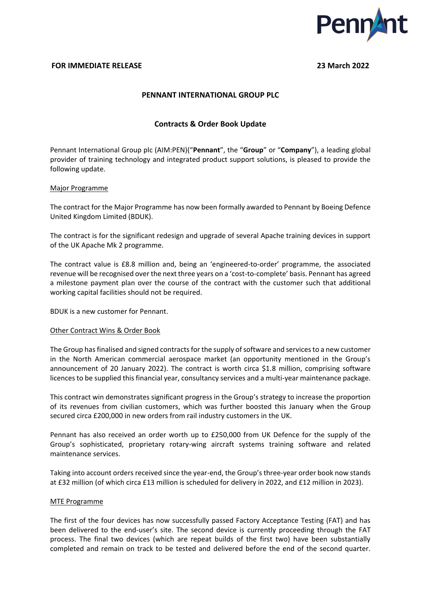

### **FOR IMMEDIATE RELEASE 23 March 2022**

## **PENNANT INTERNATIONAL GROUP PLC**

## **Contracts & Order Book Update**

Pennant International Group plc (AIM:PEN)("**Pennant**", the "**Group**" or "**Company**"), a leading global provider of training technology and integrated product support solutions, is pleased to provide the following update.

#### Major Programme

The contract for the Major Programme has now been formally awarded to Pennant by Boeing Defence United Kingdom Limited (BDUK).

The contract is for the significant redesign and upgrade of several Apache training devices in support of the UK Apache Mk 2 programme.

The contract value is £8.8 million and, being an 'engineered-to-order' programme, the associated revenue will be recognised over the next three years on a 'cost-to-complete' basis. Pennant has agreed a milestone payment plan over the course of the contract with the customer such that additional working capital facilities should not be required.

BDUK is a new customer for Pennant.

#### Other Contract Wins & Order Book

The Group has finalised and signed contracts for the supply of software and services to a new customer in the North American commercial aerospace market (an opportunity mentioned in the Group's announcement of 20 January 2022). The contract is worth circa \$1.8 million, comprising software licences to be supplied this financial year, consultancy services and a multi-year maintenance package.

This contract win demonstrates significant progress in the Group's strategy to increase the proportion of its revenues from civilian customers, which was further boosted this January when the Group secured circa £200,000 in new orders from rail industry customers in the UK.

Pennant has also received an order worth up to £250,000 from UK Defence for the supply of the Group's sophisticated, proprietary rotary-wing aircraft systems training software and related maintenance services.

Taking into account orders received since the year-end, the Group's three-year order book now stands at £32 million (of which circa £13 million is scheduled for delivery in 2022, and £12 million in 2023).

#### MTE Programme

The first of the four devices has now successfully passed Factory Acceptance Testing (FAT) and has been delivered to the end-user's site. The second device is currently proceeding through the FAT process. The final two devices (which are repeat builds of the first two) have been substantially completed and remain on track to be tested and delivered before the end of the second quarter.